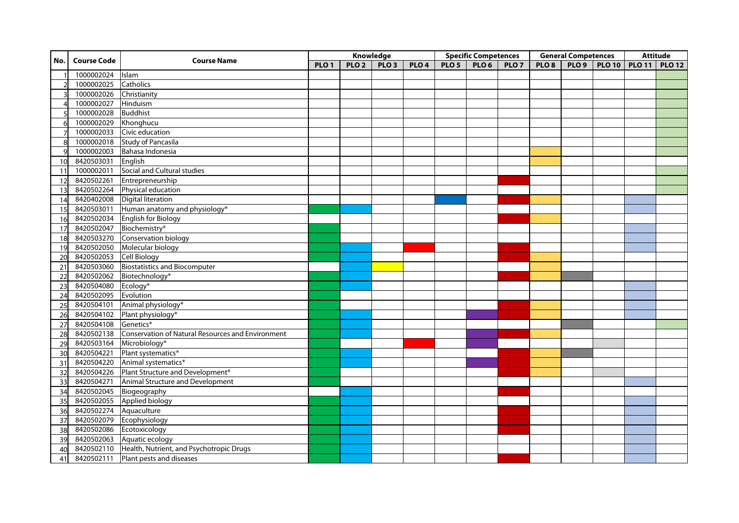|     | <b>Course Code</b>       | <b>Course Name</b>                                           |                  |                  | Knowledge        |                  | <b>Specific Competences</b> |                  |                  | <b>General Competences</b> |  |                                  | <b>Attitude</b> |  |
|-----|--------------------------|--------------------------------------------------------------|------------------|------------------|------------------|------------------|-----------------------------|------------------|------------------|----------------------------|--|----------------------------------|-----------------|--|
| No. |                          |                                                              | PLO <sub>1</sub> | PLO <sub>2</sub> | PLO <sub>3</sub> | PLO <sub>4</sub> | PLO <sub>5</sub>            | PLO <sub>6</sub> | PLO <sub>7</sub> | PLO <sub>8</sub>           |  | PLO 9   PLO 10   PLO 11   PLO 12 |                 |  |
|     | 1000002024               | Islam                                                        |                  |                  |                  |                  |                             |                  |                  |                            |  |                                  |                 |  |
|     | 1000002025               | Catholics                                                    |                  |                  |                  |                  |                             |                  |                  |                            |  |                                  |                 |  |
|     | 1000002026               | Christianity                                                 |                  |                  |                  |                  |                             |                  |                  |                            |  |                                  |                 |  |
|     | 1000002027 Hinduism      |                                                              |                  |                  |                  |                  |                             |                  |                  |                            |  |                                  |                 |  |
|     | 1000002028               | <b>Buddhist</b>                                              |                  |                  |                  |                  |                             |                  |                  |                            |  |                                  |                 |  |
| 6   | 1000002029 Khonghucu     |                                                              |                  |                  |                  |                  |                             |                  |                  |                            |  |                                  |                 |  |
|     |                          | 1000002033 Civic education                                   |                  |                  |                  |                  |                             |                  |                  |                            |  |                                  |                 |  |
|     |                          | 1000002018 Study of Pancasila                                |                  |                  |                  |                  |                             |                  |                  |                            |  |                                  |                 |  |
|     |                          | 1000002003 Bahasa Indonesia                                  |                  |                  |                  |                  |                             |                  |                  |                            |  |                                  |                 |  |
| 10  | 8420503031 English       |                                                              |                  |                  |                  |                  |                             |                  |                  |                            |  |                                  |                 |  |
| 11  |                          | 1000002011 Social and Cultural studies                       |                  |                  |                  |                  |                             |                  |                  |                            |  |                                  |                 |  |
| 12  |                          | 8420502261 Entrepreneurship                                  |                  |                  |                  |                  |                             |                  |                  |                            |  |                                  |                 |  |
| 13  |                          | 8420502264 Physical education                                |                  |                  |                  |                  |                             |                  |                  |                            |  |                                  |                 |  |
| 14  |                          | 8420402008 Digital literation                                |                  |                  |                  |                  |                             |                  |                  |                            |  |                                  |                 |  |
| 15  |                          | 8420503011 Human anatomy and physiology*                     |                  |                  |                  |                  |                             |                  |                  |                            |  |                                  |                 |  |
| 16  |                          | 8420502034 English for Biology                               |                  |                  |                  |                  |                             |                  |                  |                            |  |                                  |                 |  |
| 17  | 8420502047 Biochemistry* |                                                              |                  |                  |                  |                  |                             |                  |                  |                            |  |                                  |                 |  |
| 18  |                          | 8420503270 Conservation biology                              |                  |                  |                  |                  |                             |                  |                  |                            |  |                                  |                 |  |
| 19  |                          | 8420502050 Molecular biology                                 |                  |                  |                  |                  |                             |                  |                  |                            |  |                                  |                 |  |
| 20  | 8420502053 Cell Biology  |                                                              |                  |                  |                  |                  |                             |                  |                  |                            |  |                                  |                 |  |
| 21  |                          | 8420503060 Biostatistics and Biocomputer                     |                  |                  |                  |                  |                             |                  |                  |                            |  |                                  |                 |  |
| 22  |                          | 8420502062 Biotechnology*                                    |                  |                  |                  |                  |                             |                  |                  |                            |  |                                  |                 |  |
| 23  | 8420504080 Ecology*      |                                                              |                  |                  |                  |                  |                             |                  |                  |                            |  |                                  |                 |  |
| 24  | 8420502095 Evolution     |                                                              |                  |                  |                  |                  |                             |                  |                  |                            |  |                                  |                 |  |
| 25  |                          | 8420504101 Animal physiology*                                |                  |                  |                  |                  |                             |                  |                  |                            |  |                                  |                 |  |
| 26  |                          | 8420504102 Plant physiology*                                 |                  |                  |                  |                  |                             |                  |                  |                            |  |                                  |                 |  |
| 27  | 8420504108 Genetics*     |                                                              |                  |                  |                  |                  |                             |                  |                  |                            |  |                                  |                 |  |
| 28  |                          | 8420502138 Conservation of Natural Resources and Environment |                  |                  |                  |                  |                             |                  |                  |                            |  |                                  |                 |  |
| 29  | 8420503164 Microbiology* |                                                              |                  |                  |                  |                  |                             |                  |                  |                            |  |                                  |                 |  |
| 30  |                          | 8420504221 Plant systematics*                                |                  |                  |                  |                  |                             |                  |                  |                            |  |                                  |                 |  |
| 31  |                          | 8420504220 Animal systematics*                               |                  |                  |                  |                  |                             |                  |                  |                            |  |                                  |                 |  |
| 32  |                          | 8420504226 Plant Structure and Development*                  |                  |                  |                  |                  |                             |                  |                  |                            |  |                                  |                 |  |
| 33  |                          | 8420504271 Animal Structure and Development                  |                  |                  |                  |                  |                             |                  |                  |                            |  |                                  |                 |  |
| 34  | 8420502045 Biogeography  |                                                              |                  |                  |                  |                  |                             |                  |                  |                            |  |                                  |                 |  |
| 35  |                          | 8420502055 Applied biology                                   |                  |                  |                  |                  |                             |                  |                  |                            |  |                                  |                 |  |
| 36  | 8420502274 Aquaculture   |                                                              |                  |                  |                  |                  |                             |                  |                  |                            |  |                                  |                 |  |
| 37  |                          | 8420502079 Ecophysiology                                     |                  |                  |                  |                  |                             |                  |                  |                            |  |                                  |                 |  |
| 38  | 8420502086 Ecotoxicology |                                                              |                  |                  |                  |                  |                             |                  |                  |                            |  |                                  |                 |  |
| 39  |                          | 8420502063 Aquatic ecology                                   |                  |                  |                  |                  |                             |                  |                  |                            |  |                                  |                 |  |
| 40  |                          | 8420502110 Health, Nutrient, and Psychotropic Drugs          |                  |                  |                  |                  |                             |                  |                  |                            |  |                                  |                 |  |
| 41  |                          | 8420502111 Plant pests and diseases                          |                  |                  |                  |                  |                             |                  |                  |                            |  |                                  |                 |  |